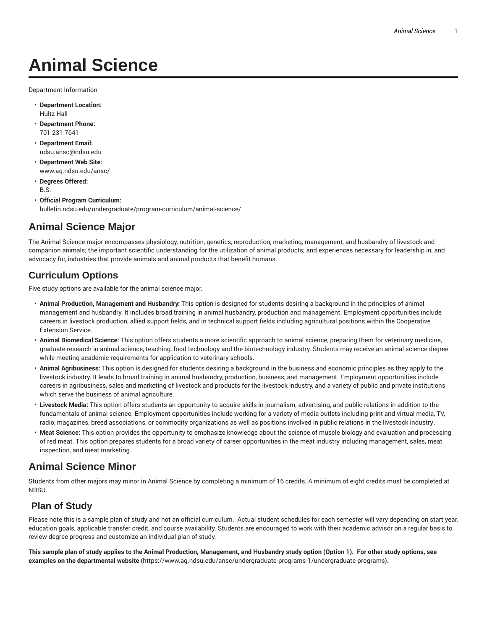# **Animal Science**

Department Information

- **Department Location:** Hultz Hall
- **Department Phone:** 701-231-7641
- **Department Email:** ndsu.ansc@ndsu.edu
- **Department Web Site:** www.ag.ndsu.edu/ansc/
- **Degrees Offered:** B.S.
- **Official Program Curriculum:** bulletin.ndsu.edu/undergraduate/program-curriculum/animal-science/

## **Animal Science Major**

The Animal Science major encompasses physiology, nutrition, genetics, reproduction, marketing, management, and husbandry of livestock and companion animals; the important scientific understanding for the utilization of animal products; and experiences necessary for leadership in, and advocacy for, industries that provide animals and animal products that benefit humans.

### **Curriculum Options**

Five study options are available for the animal science major.

- **Animal Production, Management and Husbandry:** This option is designed for students desiring a background in the principles of animal management and husbandry. It includes broad training in animal husbandry, production and management. Employment opportunities include careers in livestock production, allied support fields, and in technical support fields including agricultural positions within the Cooperative Extension Service.
- **Animal Biomedical Science:** This option offers students a more scientific approach to animal science, preparing them for veterinary medicine, graduate research in animal science, teaching, food technology and the biotechnology industry. Students may receive an animal science degree while meeting academic requirements for application to veterinary schools.
- **Animal Agribusiness:** This option is designed for students desiring a background in the business and economic principles as they apply to the livestock industry. It leads to broad training in animal husbandry, production, business, and management. Employment opportunities include careers in agribusiness, sales and marketing of livestock and products for the livestock industry, and a variety of public and private institutions which serve the business of animal agriculture.
- **Livestock Media:** This option offers students an opportunity to acquire skills in journalism, advertising, and public relations in addition to the fundamentals of animal science. Employment opportunities include working for a variety of media outlets including print and virtual media, TV, radio, magazines, breed associations, or commodity organizations as well as positions involved in public relations in the livestock industry**.**
- **Meat Science:** This option provides the opportunity to emphasize knowledge about the science of muscle biology and evaluation and processing of red meat. This option prepares students for a broad variety of career opportunities in the meat industry including management, sales, meat inspection, and meat marketing.

### **Animal Science Minor**

Students from other majors may minor in Animal Science by completing a minimum of 16 credits. A minimum of eight credits must be completed at NDSU.

#### **Plan of Study**

Please note this is a sample plan of study and not an official curriculum. Actual student schedules for each semester will vary depending on start year, education goals, applicable transfer credit, and course availability. Students are encouraged to work with their academic advisor on a regular basis to review degree progress and customize an individual plan of study.

This sample plan of study applies to the Animal Production, Management, and Husbandry study option (Option 1). For other study options, see **examples on the departmental website** (https://www.ag.ndsu.edu/ansc/undergraduate-programs-1/undergraduate-programs)**.**